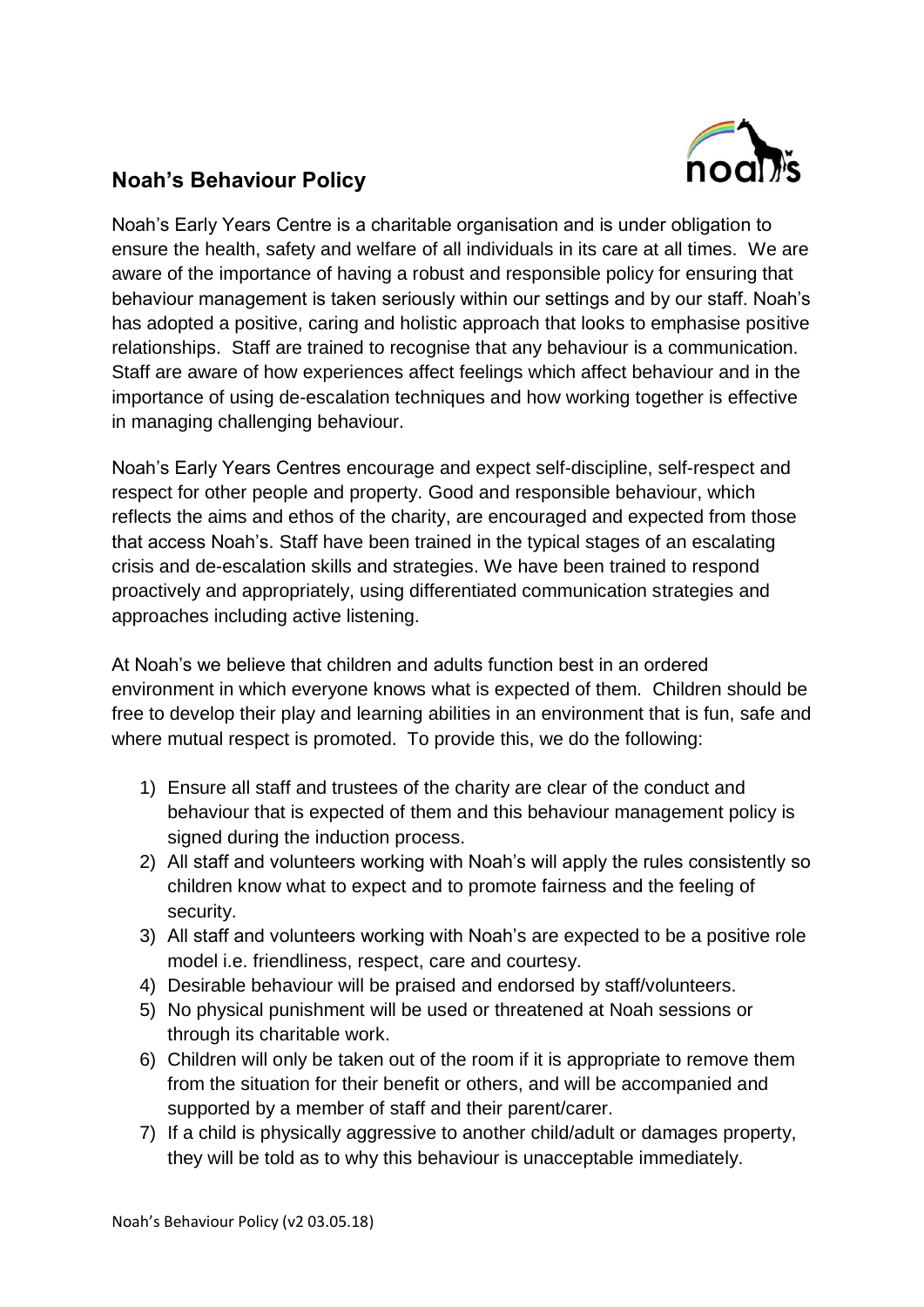

## **Noah's Behaviour Policy**

Noah's Early Years Centre is a charitable organisation and is under obligation to ensure the health, safety and welfare of all individuals in its care at all times. We are aware of the importance of having a robust and responsible policy for ensuring that behaviour management is taken seriously within our settings and by our staff. Noah's has adopted a positive, caring and holistic approach that looks to emphasise positive relationships. Staff are trained to recognise that any behaviour is a communication. Staff are aware of how experiences affect feelings which affect behaviour and in the importance of using de-escalation techniques and how working together is effective in managing challenging behaviour.

Noah's Early Years Centres encourage and expect self-discipline, self-respect and respect for other people and property. Good and responsible behaviour, which reflects the aims and ethos of the charity, are encouraged and expected from those that access Noah's. Staff have been trained in the typical stages of an escalating crisis and de-escalation skills and strategies. We have been trained to respond proactively and appropriately, using differentiated communication strategies and approaches including active listening.

At Noah's we believe that children and adults function best in an ordered environment in which everyone knows what is expected of them. Children should be free to develop their play and learning abilities in an environment that is fun, safe and where mutual respect is promoted. To provide this, we do the following:

- 1) Ensure all staff and trustees of the charity are clear of the conduct and behaviour that is expected of them and this behaviour management policy is signed during the induction process.
- 2) All staff and volunteers working with Noah's will apply the rules consistently so children know what to expect and to promote fairness and the feeling of security.
- 3) All staff and volunteers working with Noah's are expected to be a positive role model i.e. friendliness, respect, care and courtesy.
- 4) Desirable behaviour will be praised and endorsed by staff/volunteers.
- 5) No physical punishment will be used or threatened at Noah sessions or through its charitable work.
- 6) Children will only be taken out of the room if it is appropriate to remove them from the situation for their benefit or others, and will be accompanied and supported by a member of staff and their parent/carer.
- 7) If a child is physically aggressive to another child/adult or damages property, they will be told as to why this behaviour is unacceptable immediately.